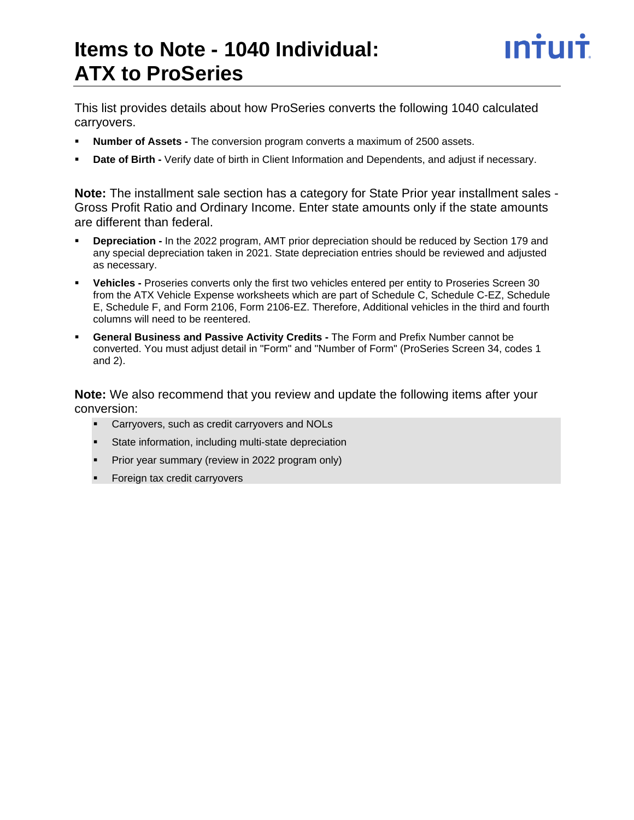# **Items to Note - 1040 Individual: ATX to ProSeries**

This list provides details about how ProSeries converts the following 1040 calculated carryovers.

- **Number of Assets -** The conversion program converts a maximum of 2500 assets.
- **Date of Birth -** Verify date of birth in Client Information and Dependents, and adjust if necessary.

**Note:** The installment sale section has a category for State Prior year installment sales - Gross Profit Ratio and Ordinary Income. Enter state amounts only if the state amounts are different than federal.

- **Depreciation -** In the 2022 program, AMT prior depreciation should be reduced by Section 179 and any special depreciation taken in 2021. State depreciation entries should be reviewed and adjusted as necessary.
- **Vehicles -** Proseries converts only the first two vehicles entered per entity to Proseries Screen 30 from the ATX Vehicle Expense worksheets which are part of Schedule C, Schedule C-EZ, Schedule E, Schedule F, and Form 2106, Form 2106-EZ. Therefore, Additional vehicles in the third and fourth columns will need to be reentered.
- **General Business and Passive Activity Credits The Form and Prefix Number cannot be** converted. You must adjust detail in "Form" and "Number of Form" (ProSeries Screen 34, codes 1 and 2).

**Note:** We also recommend that you review and update the following items after your conversion:

- Carryovers, such as credit carryovers and NOLs
- State information, including multi-state depreciation
- **•** Prior year summary (review in 2022 program only)
- **•** Foreign tax credit carryovers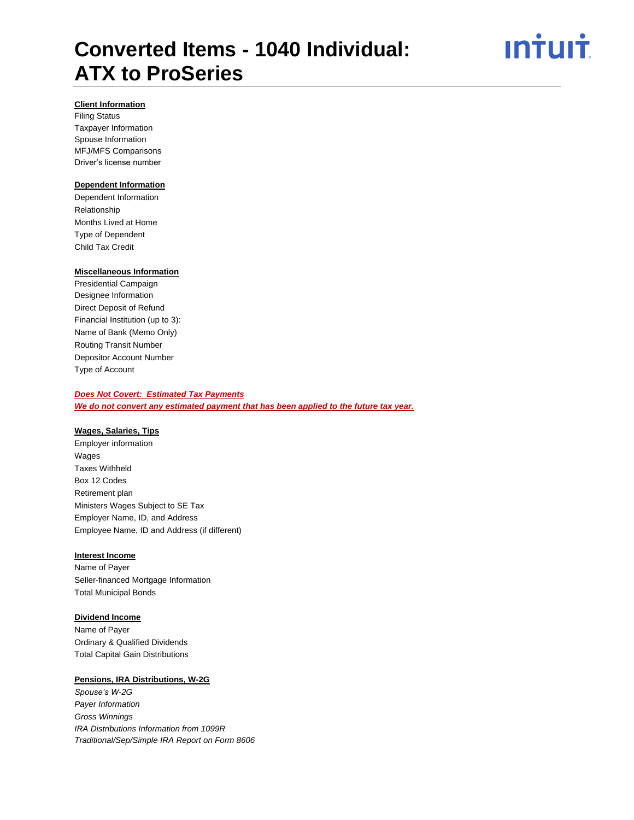# <u>ın<del>i</del>uıt</u>

# **Client Information**

Filing Status Taxpayer Information Spouse Information MFJ/MFS Comparisons Driver's license number

# **Dependent Information**

Dependent Information Relationship Months Lived at Home Type of Dependent Child Tax Credit

# **Miscellaneous Information**

Presidential Campaign Designee Information Direct Deposit of Refund Financial Institution (up to 3): Name of Bank (Memo Only) Routing Transit Number Depositor Account Number Type of Account

# *Does Not Covert: Estimated Tax Payments*

*We do not convert any estimated payment that has been applied to the future tax year.* 

### **Wages, Salaries, Tips**

Employer information Wages Taxes Withheld Box 12 Codes Retirement plan Ministers Wages Subject to SE Tax Employer Name, ID, and Address Employee Name, ID and Address (if different)

### **Interest Income**

Name of Payer Seller-financed Mortgage Information Total Municipal Bonds

# **Dividend Income**

Name of Payer Ordinary & Qualified Dividends Total Capital Gain Distributions

# **Pensions, IRA Distributions, W-2G**

*Spouse's W-2G Payer Information Gross Winnings IRA Distributions Information from 1099R Traditional/Sep/Simple IRA Report on Form 8606*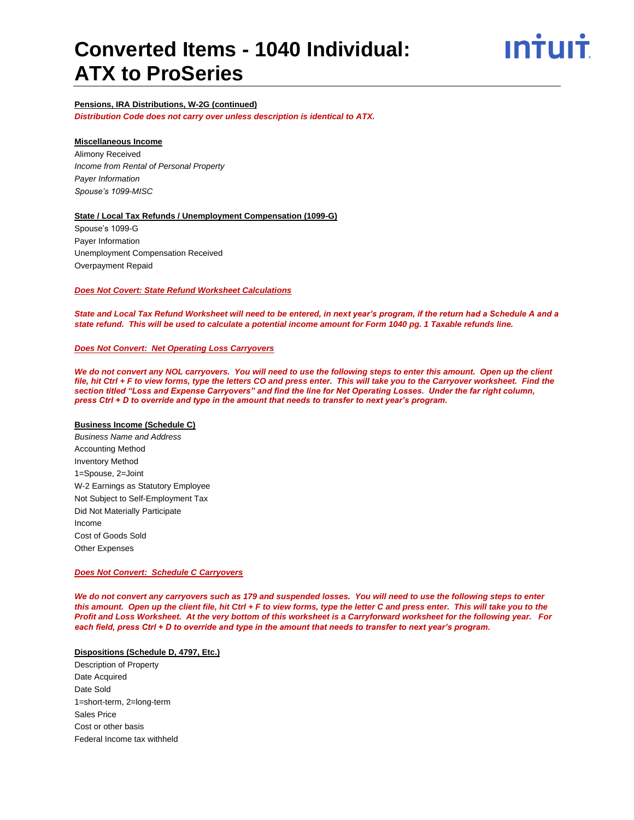## **Pensions, IRA Distributions, W-2G (continued)**

*Distribution Code does not carry over unless description is identical to ATX.*

#### **Miscellaneous Income**

Alimony Received *Income from Rental of Personal Property Payer Information Spouse's 1099-MISC*

### **State / Local Tax Refunds / Unemployment Compensation (1099-G)**

Spouse's 1099-G Payer Information Unemployment Compensation Received Overpayment Repaid

## *Does Not Covert: State Refund Worksheet Calculations*

*State and Local Tax Refund Worksheet will need to be entered, in next year's program, if the return had a Schedule A and a state refund. This will be used to calculate a potential income amount for Form 1040 pg. 1 Taxable refunds line.*

#### *Does Not Convert: Net Operating Loss Carryovers*

We do not convert any NOL carryovers. You will need to use the following steps to enter this amount. Open up the client *file, hit Ctrl + F to view forms, type the letters CO and press enter. This will take you to the Carryover worksheet. Find the section titled "Loss and Expense Carryovers" and find the line for Net Operating Losses. Under the far right column, press Ctrl + D to override and type in the amount that needs to transfer to next year's program.* 

#### **Business Income (Schedule C)**

*Business Name and Address* Accounting Method Inventory Method 1=Spouse, 2=Joint W-2 Earnings as Statutory Employee Not Subject to Self-Employment Tax Did Not Materially Participate Income Cost of Goods Sold Other Expenses

#### *Does Not Convert: Schedule C Carryovers*

*We do not convert any carryovers such as 179 and suspended losses. You will need to use the following steps to enter this amount. Open up the client file, hit Ctrl + F to view forms, type the letter C and press enter. This will take you to the Profit and Loss Worksheet. At the very bottom of this worksheet is a Carryforward worksheet for the following year. For each field, press Ctrl + D to override and type in the amount that needs to transfer to next year's program.* 

### **Dispositions (Schedule D, 4797, Etc.)**

Description of Property Date Acquired Date Sold 1=short-term, 2=long-term Sales Price Cost or other basis Federal Income tax withheld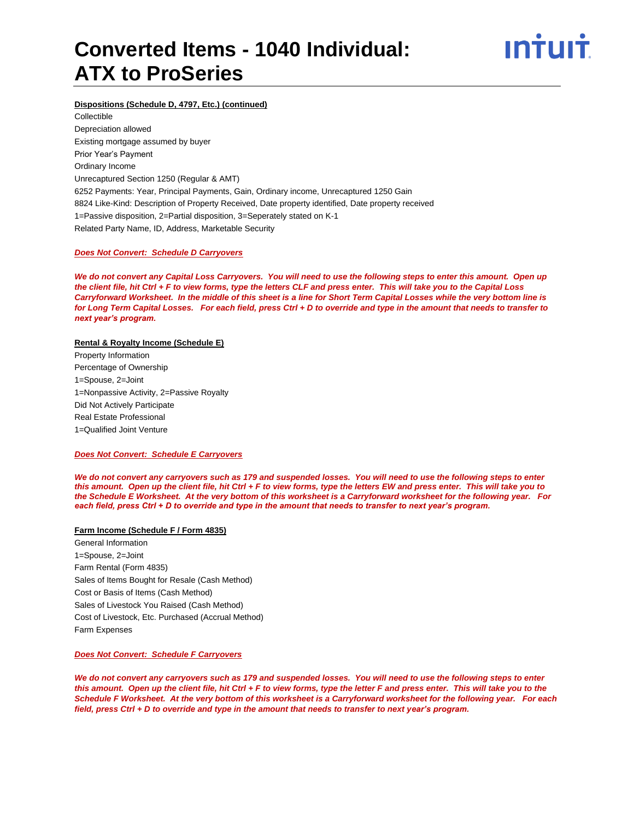

# **Dispositions (Schedule D, 4797, Etc.) (continued)**

Collectible Depreciation allowed Existing mortgage assumed by buyer Prior Year's Payment Ordinary Income Unrecaptured Section 1250 (Regular & AMT) 6252 Payments: Year, Principal Payments, Gain, Ordinary income, Unrecaptured 1250 Gain 8824 Like-Kind: Description of Property Received, Date property identified, Date property received 1=Passive disposition, 2=Partial disposition, 3=Seperately stated on K-1 Related Party Name, ID, Address, Marketable Security

#### *Does Not Convert: Schedule D Carryovers*

*We do not convert any Capital Loss Carryovers. You will need to use the following steps to enter this amount. Open up the client file, hit Ctrl + F to view forms, type the letters CLF and press enter. This will take you to the Capital Loss Carryforward Worksheet. In the middle of this sheet is a line for Short Term Capital Losses while the very bottom line is for Long Term Capital Losses. For each field, press Ctrl + D to override and type in the amount that needs to transfer to next year's program.*

### **Rental & Royalty Income (Schedule E)**

Property Information Percentage of Ownership 1=Spouse, 2=Joint 1=Nonpassive Activity, 2=Passive Royalty Did Not Actively Participate Real Estate Professional 1=Qualified Joint Venture

# *Does Not Convert: Schedule E Carryovers*

*We do not convert any carryovers such as 179 and suspended losses. You will need to use the following steps to enter this amount. Open up the client file, hit Ctrl + F to view forms, type the letters EW and press enter. This will take you to the Schedule E Worksheet. At the very bottom of this worksheet is a Carryforward worksheet for the following year. For each field, press Ctrl + D to override and type in the amount that needs to transfer to next year's program.* 

# **Farm Income (Schedule F / Form 4835)**

General Information 1=Spouse, 2=Joint Farm Rental (Form 4835) Sales of Items Bought for Resale (Cash Method) Cost or Basis of Items (Cash Method) Sales of Livestock You Raised (Cash Method) Cost of Livestock, Etc. Purchased (Accrual Method) Farm Expenses

#### *Does Not Convert: Schedule F Carryovers*

*We do not convert any carryovers such as 179 and suspended losses. You will need to use the following steps to enter this amount. Open up the client file, hit Ctrl + F to view forms, type the letter F and press enter. This will take you to the Schedule F Worksheet. At the very bottom of this worksheet is a Carryforward worksheet for the following year. For each field, press Ctrl + D to override and type in the amount that needs to transfer to next year's program.*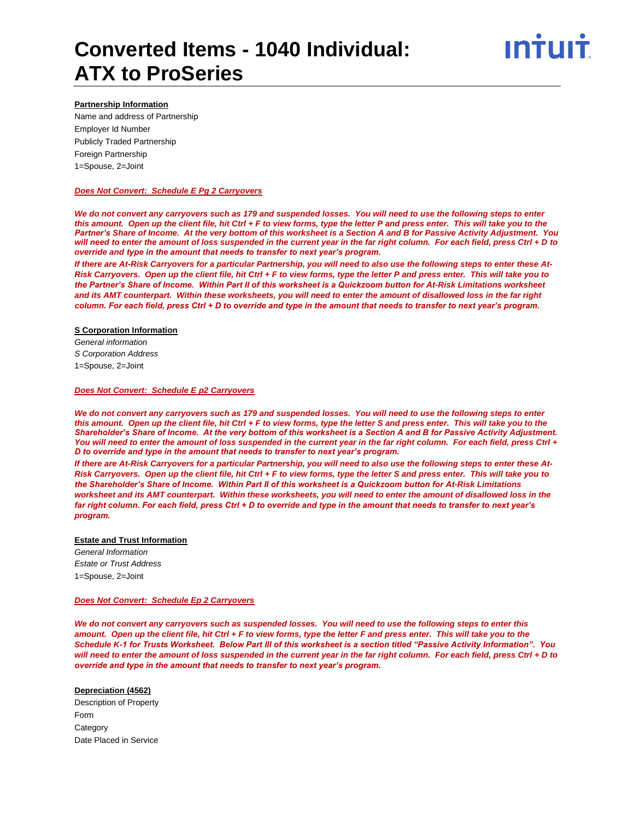### **Partnership Information**

Name and address of Partnership Employer Id Number Publicly Traded Partnership Foreign Partnership 1=Spouse, 2=Joint

### *Does Not Convert: Schedule E Pg 2 Carryovers*

*We do not convert any carryovers such as 179 and suspended losses. You will need to use the following steps to enter this amount. Open up the client file, hit Ctrl + F to view forms, type the letter P and press enter. This will take you to the Partner's Share of Income. At the very bottom of this worksheet is a Section A and B for Passive Activity Adjustment. You will need to enter the amount of loss suspended in the current year in the far right column. For each field, press Ctrl + D to override and type in the amount that needs to transfer to next year's program.* 

*If there are At-Risk Carryovers for a particular Partnership, you will need to also use the following steps to enter these At-Risk Carryovers. Open up the client file, hit Ctrl + F to view forms, type the letter P and press enter. This will take you to the Partner's Share of Income. Within Part II of this worksheet is a Quickzoom button for At-Risk Limitations worksheet and its AMT counterpart. Within these worksheets, you will need to enter the amount of disallowed loss in the far right column. For each field, press Ctrl + D to override and type in the amount that needs to transfer to next year's program.* 

### **S Corporation Information**

*General information S Corporation Address* 1=Spouse, 2=Joint

#### *Does Not Convert: Schedule E p2 Carryovers*

*We do not convert any carryovers such as 179 and suspended losses. You will need to use the following steps to enter this amount. Open up the client file, hit Ctrl + F to view forms, type the letter S and press enter. This will take you to the Shareholder's Share of Income. At the very bottom of this worksheet is a Section A and B for Passive Activity Adjustment. You will need to enter the amount of loss suspended in the current year in the far right column. For each field, press Ctrl + D to override and type in the amount that needs to transfer to next year's program.* 

*If there are At-Risk Carryovers for a particular Partnership, you will need to also use the following steps to enter these At-Risk Carryovers. Open up the client file, hit Ctrl + F to view forms, type the letter S and press enter. This will take you to the Shareholder's Share of Income. Within Part II of this worksheet is a Quickzoom button for At-Risk Limitations worksheet and its AMT counterpart. Within these worksheets, you will need to enter the amount of disallowed loss in the far right column. For each field, press Ctrl + D to override and type in the amount that needs to transfer to next year's program.* 

### **Estate and Trust Information**

*General Information Estate or Trust Address* 1=Spouse, 2=Joint

### *Does Not Convert: Schedule Ep 2 Carryovers*

*We do not convert any carryovers such as suspended losses. You will need to use the following steps to enter this amount. Open up the client file, hit Ctrl + F to view forms, type the letter F and press enter. This will take you to the Schedule K-1 for Trusts Worksheet. Below Part III of this worksheet is a section titled "Passive Activity Information". You will need to enter the amount of loss suspended in the current year in the far right column. For each field, press Ctrl + D to override and type in the amount that needs to transfer to next year's program.* 

### **Depreciation (4562)**

Description of Property Form **Category** Date Placed in Service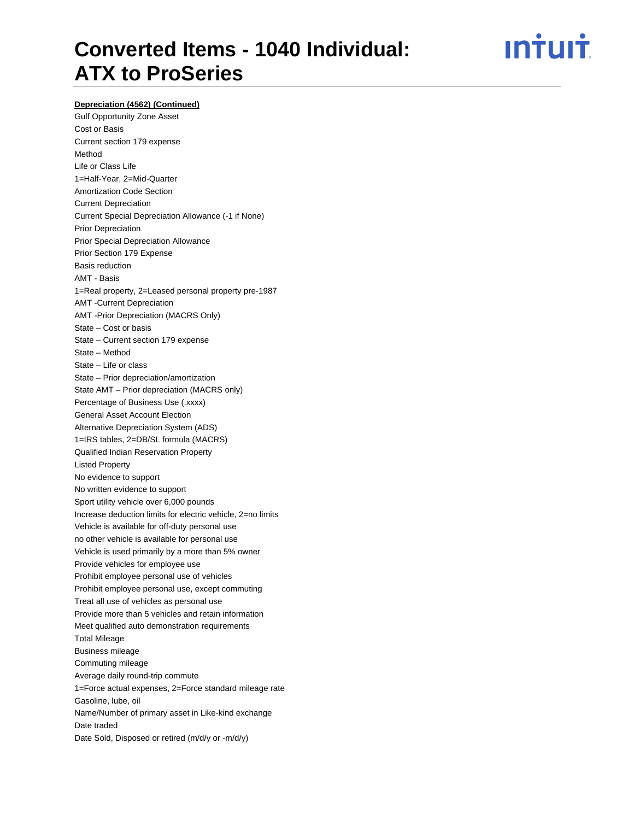# **Depreciation (4562) (Continued)**

Gulf Opportunity Zone Asset Cost or Basis Current section 179 expense Method Life or Class Life 1=Half-Year, 2=Mid-Quarter Amortization Code Section Current Depreciation Current Special Depreciation Allowance (-1 if None) Prior Depreciation Prior Special Depreciation Allowance Prior Section 179 Expense Basis reduction AMT - Basis 1=Real property, 2=Leased personal property pre-1987 AMT -Current Depreciation AMT -Prior Depreciation (MACRS Only) State – Cost or basis State – Current section 179 expense State – Method State – Life or class State – Prior depreciation/amortization State AMT – Prior depreciation (MACRS only) Percentage of Business Use (.xxxx) General Asset Account Election Alternative Depreciation System (ADS) 1=IRS tables, 2=DB/SL formula (MACRS) Qualified Indian Reservation Property Listed Property No evidence to support No written evidence to support Sport utility vehicle over 6,000 pounds Increase deduction limits for electric vehicle, 2=no limits Vehicle is available for off-duty personal use no other vehicle is available for personal use Vehicle is used primarily by a more than 5% owner Provide vehicles for employee use Prohibit employee personal use of vehicles Prohibit employee personal use, except commuting Treat all use of vehicles as personal use Provide more than 5 vehicles and retain information Meet qualified auto demonstration requirements Total Mileage Business mileage Commuting mileage Average daily round-trip commute 1=Force actual expenses, 2=Force standard mileage rate Gasoline, lube, oil Name/Number of primary asset in Like-kind exchange Date traded Date Sold, Disposed or retired (m/d/y or -m/d/y)

# <u>**Intuit**</u>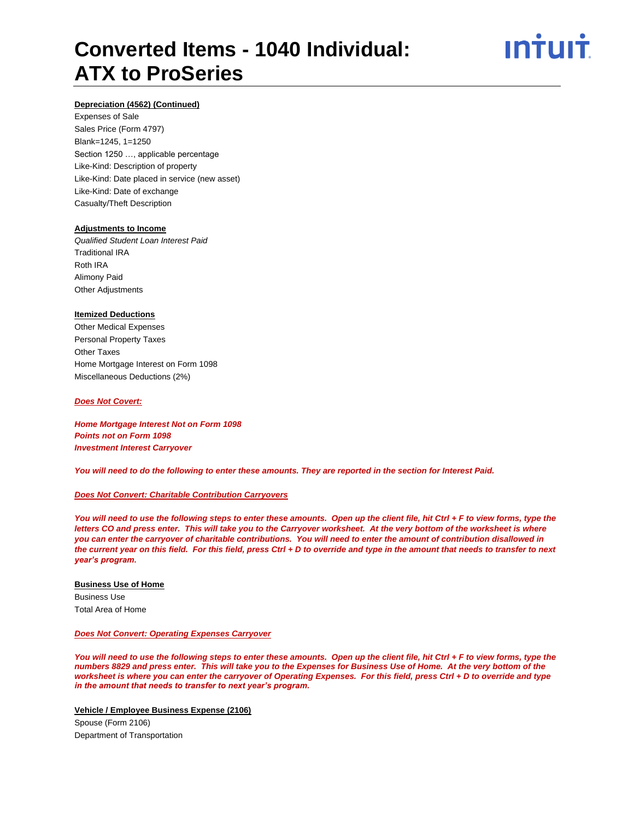

# **Depreciation (4562) (Continued)**

Expenses of Sale Sales Price (Form 4797) Blank=1245, 1=1250 Section 1250 …, applicable percentage Like-Kind: Description of property Like-Kind: Date placed in service (new asset) Like-Kind: Date of exchange Casualty/Theft Description

#### **Adjustments to Income**

*Qualified Student Loan Interest Paid* Traditional IRA Roth IRA Alimony Paid Other Adjustments

#### **Itemized Deductions**

Other Medical Expenses Personal Property Taxes Other Taxes Home Mortgage Interest on Form 1098 Miscellaneous Deductions (2%)

#### *Does Not Covert:*

*Home Mortgage Interest Not on Form 1098 Points not on Form 1098 Investment Interest Carryover*

*You will need to do the following to enter these amounts. They are reported in the section for Interest Paid.*

# *Does Not Convert: Charitable Contribution Carryovers*

*You will need to use the following steps to enter these amounts. Open up the client file, hit Ctrl + F to view forms, type the letters CO and press enter. This will take you to the Carryover worksheet. At the very bottom of the worksheet is where you can enter the carryover of charitable contributions. You will need to enter the amount of contribution disallowed in the current year on this field. For this field, press Ctrl + D to override and type in the amount that needs to transfer to next year's program.*

# **Business Use of Home** Business Use Total Area of Home

#### *Does Not Convert: Operating Expenses Carryover*

*You will need to use the following steps to enter these amounts. Open up the client file, hit Ctrl + F to view forms, type the numbers 8829 and press enter. This will take you to the Expenses for Business Use of Home. At the very bottom of the worksheet is where you can enter the carryover of Operating Expenses. For this field, press Ctrl + D to override and type in the amount that needs to transfer to next year's program.* 

**Vehicle / Employee Business Expense (2106)**

Spouse (Form 2106) Department of Transportation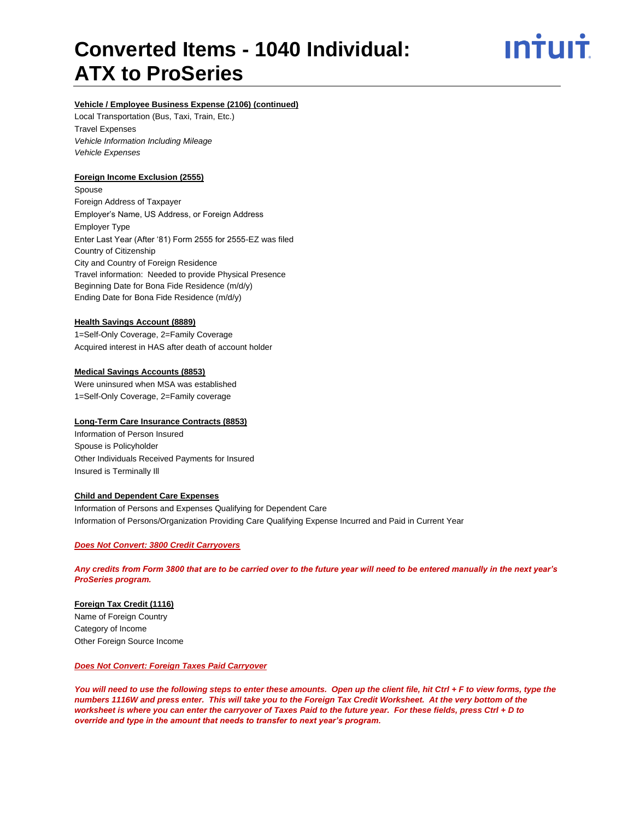ın†uı†

# **Vehicle / Employee Business Expense (2106) (continued)**

Local Transportation (Bus, Taxi, Train, Etc.) Travel Expenses *Vehicle Information Including Mileage Vehicle Expenses*

# **Foreign Income Exclusion (2555)**

Spouse Foreign Address of Taxpayer Employer's Name, US Address, or Foreign Address Employer Type Enter Last Year (After '81) Form 2555 for 2555-EZ was filed Country of Citizenship City and Country of Foreign Residence Travel information: Needed to provide Physical Presence Beginning Date for Bona Fide Residence (m/d/y) Ending Date for Bona Fide Residence (m/d/y)

### **Health Savings Account (8889)**

1=Self-Only Coverage, 2=Family Coverage Acquired interest in HAS after death of account holder

#### **Medical Savings Accounts (8853)**

Were uninsured when MSA was established 1=Self-Only Coverage, 2=Family coverage

# **Long-Term Care Insurance Contracts (8853)**

Information of Person Insured Spouse is Policyholder Other Individuals Received Payments for Insured Insured is Terminally Ill

#### **Child and Dependent Care Expenses**

Information of Persons and Expenses Qualifying for Dependent Care Information of Persons/Organization Providing Care Qualifying Expense Incurred and Paid in Current Year

### *Does Not Convert: 3800 Credit Carryovers*

*Any credits from Form 3800 that are to be carried over to the future year will need to be entered manually in the next year's ProSeries program.*

# **Foreign Tax Credit (1116)**

Name of Foreign Country Category of Income Other Foreign Source Income

# *Does Not Convert: Foreign Taxes Paid Carryover*

*You will need to use the following steps to enter these amounts. Open up the client file, hit Ctrl + F to view forms, type the*  numbers 1116W and press enter. This will take you to the Foreign Tax Credit Worksheet. At the very bottom of the *worksheet is where you can enter the carryover of Taxes Paid to the future year. For these fields, press Ctrl + D to override and type in the amount that needs to transfer to next year's program.*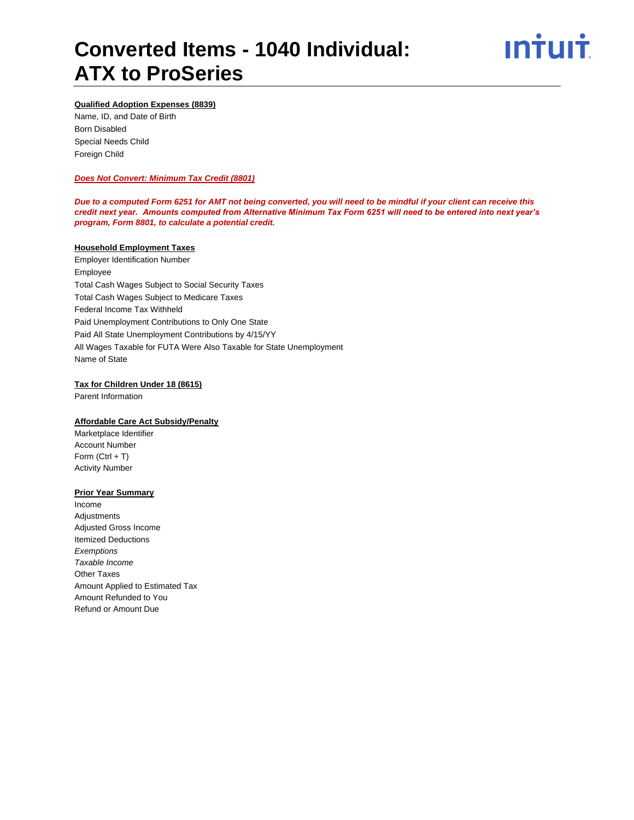

# **Qualified Adoption Expenses (8839)**

Name, ID, and Date of Birth Born Disabled Special Needs Child Foreign Child

### *Does Not Convert: Minimum Tax Credit (8801)*

*Due to a computed Form 6251 for AMT not being converted, you will need to be mindful if your client can receive this credit next year. Amounts computed from Alternative Minimum Tax Form 6251 will need to be entered into next year's program, Form 8801, to calculate a potential credit.*

#### **Household Employment Taxes**

Employer Identification Number Employee Total Cash Wages Subject to Social Security Taxes Total Cash Wages Subject to Medicare Taxes Federal Income Tax Withheld Paid Unemployment Contributions to Only One State Paid All State Unemployment Contributions by 4/15/YY All Wages Taxable for FUTA Were Also Taxable for State Unemployment Name of State

#### **Tax for Children Under 18 (8615)**

Parent Information

# **Affordable Care Act Subsidy/Penalty**

Marketplace Identifier Account Number Form  $(CtrI + T)$ Activity Number

#### **Prior Year Summary**

Income Adjustments Adjusted Gross Income Itemized Deductions *Exemptions Taxable Income* Other Taxes Amount Applied to Estimated Tax Amount Refunded to You Refund or Amount Due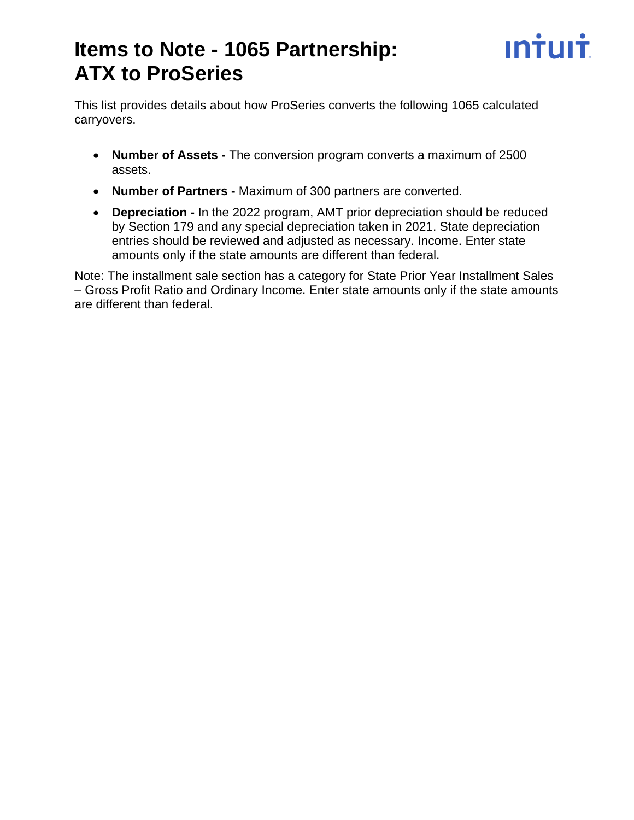This list provides details about how ProSeries converts the following 1065 calculated carryovers.

- **Number of Assets -** The conversion program converts a maximum of 2500 assets.
- **Number of Partners -** Maximum of 300 partners are converted.
- **Depreciation -** In the 2022 program, AMT prior depreciation should be reduced by Section 179 and any special depreciation taken in 2021. State depreciation entries should be reviewed and adjusted as necessary. Income. Enter state amounts only if the state amounts are different than federal.

Note: The installment sale section has a category for State Prior Year Installment Sales – Gross Profit Ratio and Ordinary Income. Enter state amounts only if the state amounts are different than federal.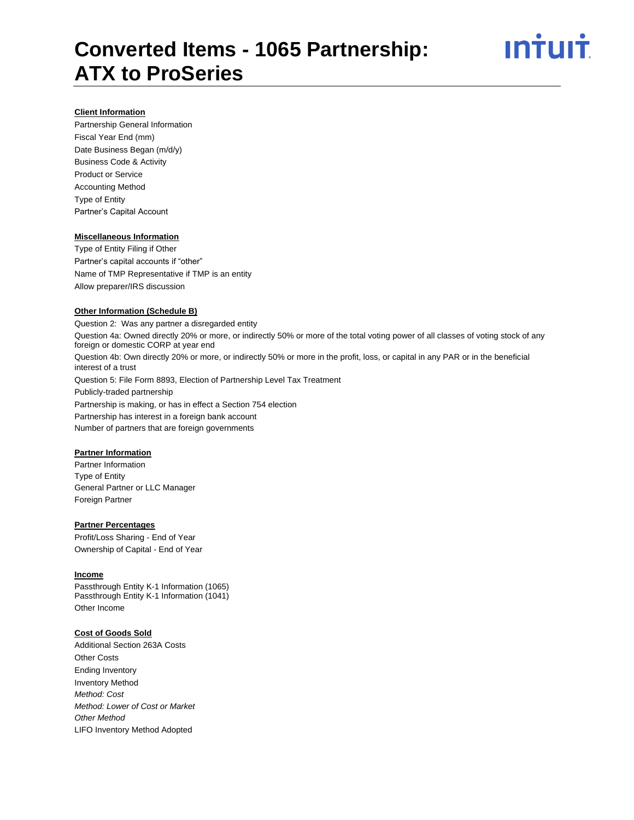# **Client Information**

Partnership General Information Fiscal Year End (mm) Date Business Began (m/d/y) Business Code & Activity Product or Service Accounting Method Type of Entity Partner's Capital Account

### **Miscellaneous Information**

Type of Entity Filing if Other Partner's capital accounts if "other" Name of TMP Representative if TMP is an entity Allow preparer/IRS discussion

#### **Other Information (Schedule B)**

Question 2: Was any partner a disregarded entity Question 4a: Owned directly 20% or more, or indirectly 50% or more of the total voting power of all classes of voting stock of any foreign or domestic CORP at year end Question 4b: Own directly 20% or more, or indirectly 50% or more in the profit, loss, or capital in any PAR or in the beneficial interest of a trust Question 5: File Form 8893, Election of Partnership Level Tax Treatment Publicly-traded partnership Partnership is making, or has in effect a Section 754 election Partnership has interest in a foreign bank account Number of partners that are foreign governments

### **Partner Information**

Partner Information Type of Entity General Partner or LLC Manager Foreign Partner

# **Partner Percentages**

Profit/Loss Sharing - End of Year Ownership of Capital - End of Year

#### **Income**

Passthrough Entity K-1 Information (1065) Passthrough Entity K-1 Information (1041) Other Income

### **Cost of Goods Sold**

Additional Section 263A Costs Other Costs Ending Inventory Inventory Method *Method: Cost Method: Lower of Cost or Market Other Method* LIFO Inventory Method Adopted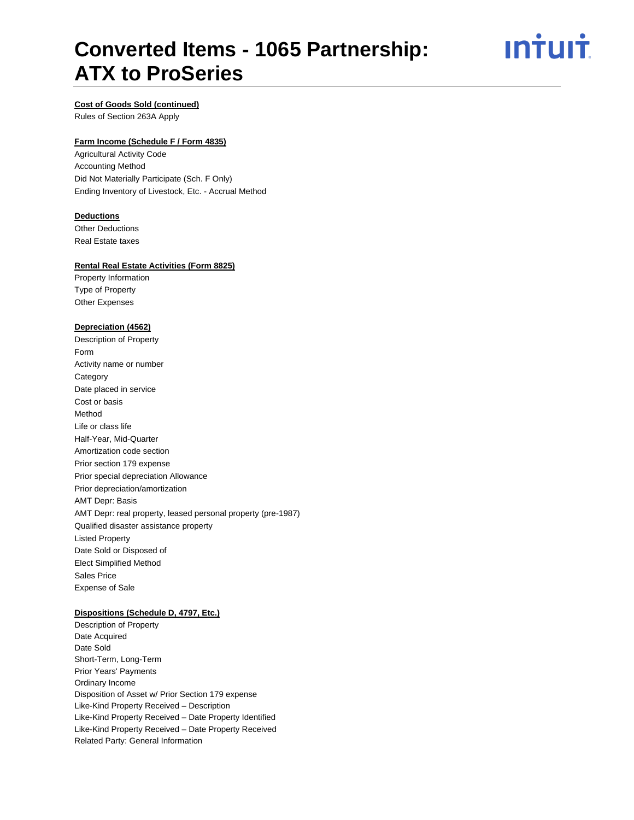# **Converted Items - 1065 Partnership: ATX to ProSeries**

<u>ıntuıt</u>

# **Cost of Goods Sold (continued)**

Rules of Section 263A Apply

# **Farm Income (Schedule F / Form 4835)**

Agricultural Activity Code Accounting Method Did Not Materially Participate (Sch. F Only) Ending Inventory of Livestock, Etc. - Accrual Method

#### **Deductions**

Other Deductions Real Estate taxes

# **Rental Real Estate Activities (Form 8825)**

Property Information Type of Property Other Expenses

#### **Depreciation (4562)**

Description of Property Form Activity name or number **Category** Date placed in service Cost or basis Method Life or class life Half-Year, Mid-Quarter Amortization code section Prior section 179 expense Prior special depreciation Allowance Prior depreciation/amortization AMT Depr: Basis AMT Depr: real property, leased personal property (pre-1987) Qualified disaster assistance property Listed Property Date Sold or Disposed of Elect Simplified Method Sales Price Expense of Sale

# **Dispositions (Schedule D, 4797, Etc.)**

Description of Property Date Acquired Date Sold Short-Term, Long-Term Prior Years' Payments Ordinary Income Disposition of Asset w/ Prior Section 179 expense Like-Kind Property Received – Description Like-Kind Property Received – Date Property Identified Like-Kind Property Received – Date Property Received Related Party: General Information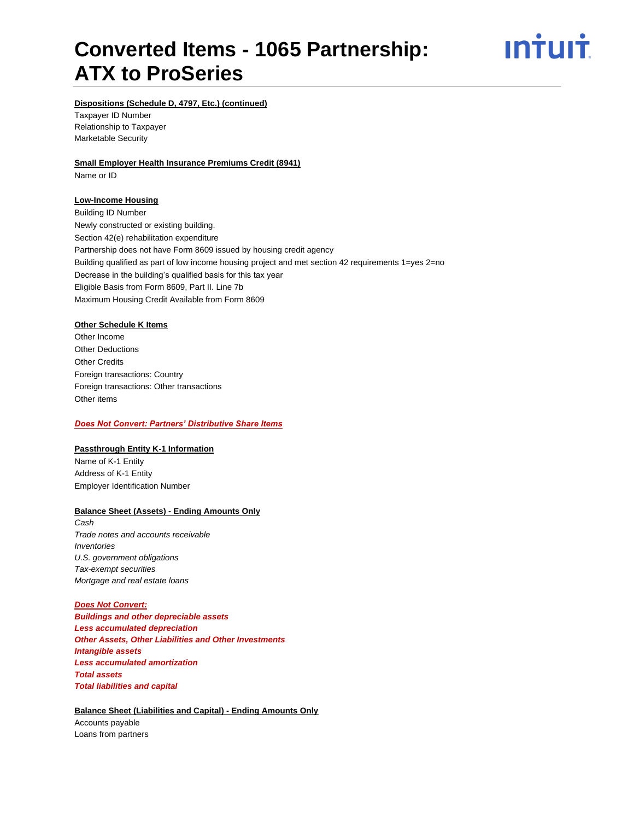# **Converted Items - 1065 Partnership: ATX to ProSeries**



# **Dispositions (Schedule D, 4797, Etc.) (continued)**

Taxpayer ID Number Relationship to Taxpayer Marketable Security

#### **Small Employer Health Insurance Premiums Credit (8941)**

Name or ID

# **Low-Income Housing**

Building ID Number Newly constructed or existing building. Section 42(e) rehabilitation expenditure Partnership does not have Form 8609 issued by housing credit agency Building qualified as part of low income housing project and met section 42 requirements 1=yes 2=no Decrease in the building's qualified basis for this tax year Eligible Basis from Form 8609, Part II. Line 7b Maximum Housing Credit Available from Form 8609

# **Other Schedule K Items**

Other Income Other Deductions Other Credits Foreign transactions: Country Foreign transactions: Other transactions Other items

### *Does Not Convert: Partners' Distributive Share Items*

# **Passthrough Entity K-1 Information**

Name of K-1 Entity Address of K-1 Entity Employer Identification Number

# **Balance Sheet (Assets) - Ending Amounts Only**

*Cash Trade notes and accounts receivable Inventories U.S. government obligations Tax-exempt securities Mortgage and real estate loans*

# *Does Not Convert:*

*Buildings and other depreciable assets Less accumulated depreciation Other Assets, Other Liabilities and Other Investments Intangible assets Less accumulated amortization Total assets Total liabilities and capital*

# **Balance Sheet (Liabilities and Capital) - Ending Amounts Only**

Accounts payable Loans from partners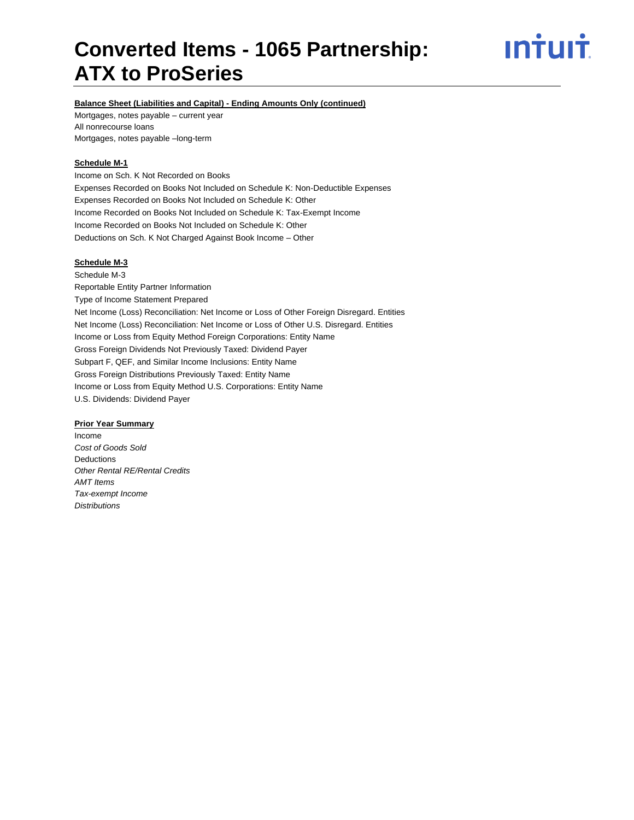# **Converted Items - 1065 Partnership: ATX to ProSeries**

# <u>ıntuıt</u>

# **Balance Sheet (Liabilities and Capital) - Ending Amounts Only (continued)**

Mortgages, notes payable – current year All nonrecourse loans Mortgages, notes payable –long-term

# **Schedule M-1**

Income on Sch. K Not Recorded on Books Expenses Recorded on Books Not Included on Schedule K: Non-Deductible Expenses Expenses Recorded on Books Not Included on Schedule K: Other Income Recorded on Books Not Included on Schedule K: Tax-Exempt Income Income Recorded on Books Not Included on Schedule K: Other Deductions on Sch. K Not Charged Against Book Income – Other

# **Schedule M-3**

Schedule M-3 Reportable Entity Partner Information Type of Income Statement Prepared Net Income (Loss) Reconciliation: Net Income or Loss of Other Foreign Disregard. Entities Net Income (Loss) Reconciliation: Net Income or Loss of Other U.S. Disregard. Entities Income or Loss from Equity Method Foreign Corporations: Entity Name Gross Foreign Dividends Not Previously Taxed: Dividend Payer Subpart F, QEF, and Similar Income Inclusions: Entity Name Gross Foreign Distributions Previously Taxed: Entity Name Income or Loss from Equity Method U.S. Corporations: Entity Name U.S. Dividends: Dividend Payer

# **Prior Year Summary**

Income *Cost of Goods Sold* **Deductions** *Other Rental RE/Rental Credits AMT Items Tax-exempt Income Distributions*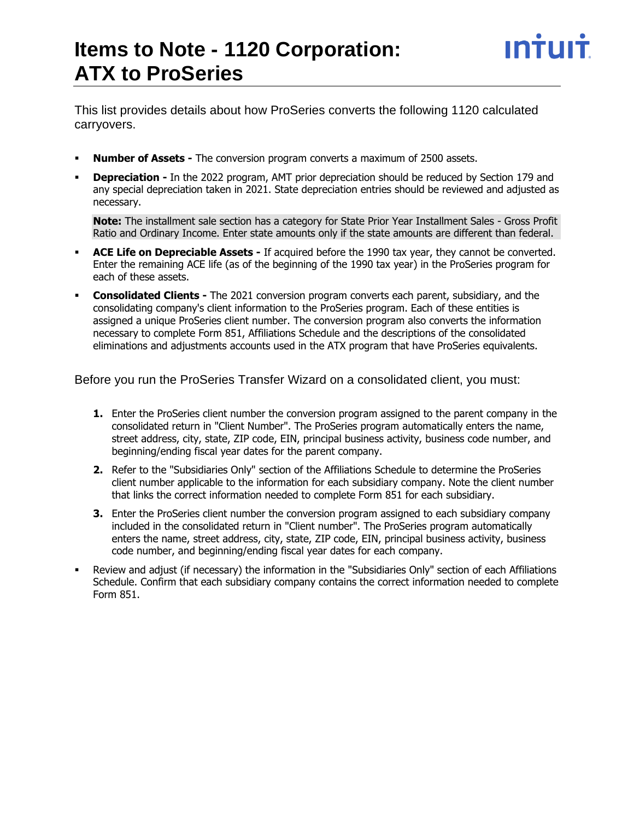This list provides details about how ProSeries converts the following 1120 calculated carryovers.

- **Number of Assets -** The conversion program converts a maximum of 2500 assets.
- **Depreciation -** In the 2022 program, AMT prior depreciation should be reduced by Section 179 and any special depreciation taken in 2021. State depreciation entries should be reviewed and adjusted as necessary.

**Note:** The installment sale section has a category for State Prior Year Installment Sales - Gross Profit Ratio and Ordinary Income. Enter state amounts only if the state amounts are different than federal.

- ACE Life on Depreciable Assets If acquired before the 1990 tax year, they cannot be converted. Enter the remaining ACE life (as of the beginning of the 1990 tax year) in the ProSeries program for each of these assets.
- **Consolidated Clients -** The 2021 conversion program converts each parent, subsidiary, and the consolidating company's client information to the ProSeries program. Each of these entities is assigned a unique ProSeries client number. The conversion program also converts the information necessary to complete Form 851, Affiliations Schedule and the descriptions of the consolidated eliminations and adjustments accounts used in the ATX program that have ProSeries equivalents.

Before you run the ProSeries Transfer Wizard on a consolidated client, you must:

- **1.** Enter the ProSeries client number the conversion program assigned to the parent company in the consolidated return in "Client Number". The ProSeries program automatically enters the name, street address, city, state, ZIP code, EIN, principal business activity, business code number, and beginning/ending fiscal year dates for the parent company.
- **2.** Refer to the "Subsidiaries Only" section of the Affiliations Schedule to determine the ProSeries client number applicable to the information for each subsidiary company. Note the client number that links the correct information needed to complete Form 851 for each subsidiary.
- **3.** Enter the ProSeries client number the conversion program assigned to each subsidiary company included in the consolidated return in "Client number". The ProSeries program automatically enters the name, street address, city, state, ZIP code, EIN, principal business activity, business code number, and beginning/ending fiscal year dates for each company.
- Review and adjust (if necessary) the information in the "Subsidiaries Only" section of each Affiliations Schedule. Confirm that each subsidiary company contains the correct information needed to complete Form 851.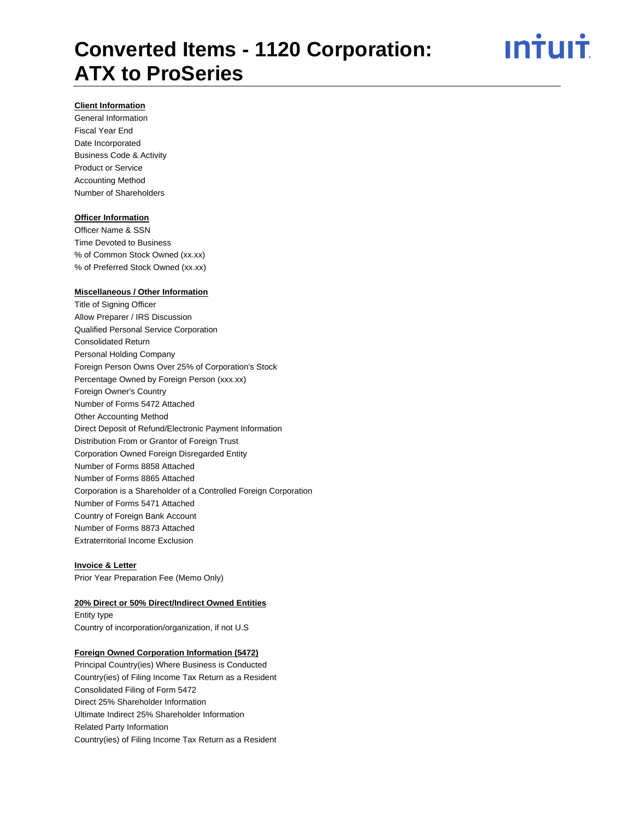

# **Client Information**

General Information Fiscal Year End Date Incorporated Business Code & Activity Product or Service Accounting Method Number of Shareholders

### **Officer Information**

Officer Name & SSN Time Devoted to Business % of Common Stock Owned (xx.xx) % of Preferred Stock Owned (xx.xx)

#### **Miscellaneous / Other Information**

Title of Signing Officer Allow Preparer / IRS Discussion Qualified Personal Service Corporation Consolidated Return Personal Holding Company Foreign Person Owns Over 25% of Corporation's Stock Percentage Owned by Foreign Person (xxx.xx) Foreign Owner's Country Number of Forms 5472 Attached Other Accounting Method Direct Deposit of Refund/Electronic Payment Information Distribution From or Grantor of Foreign Trust Corporation Owned Foreign Disregarded Entity Number of Forms 8858 Attached Number of Forms 8865 Attached Corporation is a Shareholder of a Controlled Foreign Corporation Number of Forms 5471 Attached Country of Foreign Bank Account Number of Forms 8873 Attached Extraterritorial Income Exclusion

#### **Invoice & Letter**

Prior Year Preparation Fee (Memo Only)

#### **20% Direct or 50% Direct/Indirect Owned Entities**

Entity type Country of incorporation/organization, if not U.S

#### **Foreign Owned Corporation Information (5472)**

Principal Country(ies) Where Business is Conducted Country(ies) of Filing Income Tax Return as a Resident Consolidated Filing of Form 5472 Direct 25% Shareholder Information Ultimate Indirect 25% Shareholder Information Related Party Information Country(ies) of Filing Income Tax Return as a Resident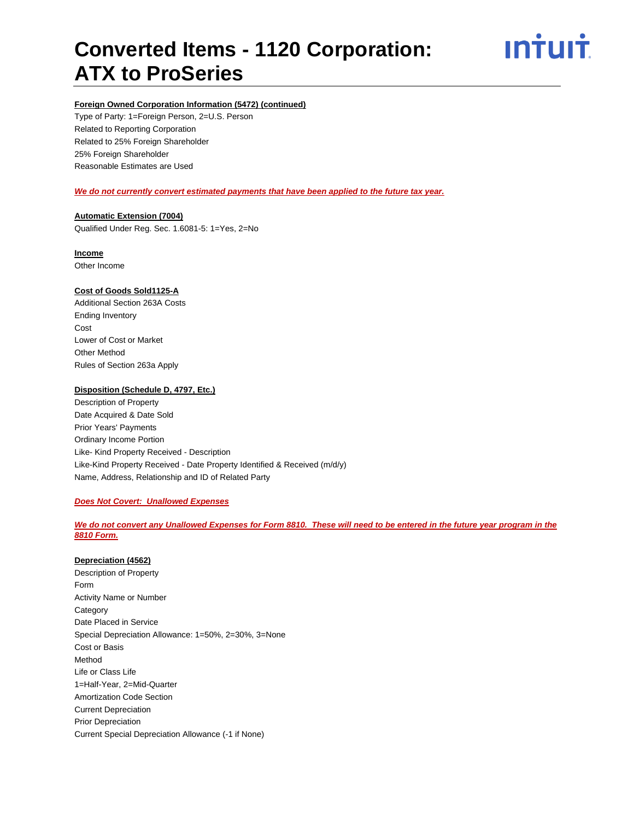

# **Foreign Owned Corporation Information (5472) (continued)**

Type of Party: 1=Foreign Person, 2=U.S. Person Related to Reporting Corporation Related to 25% Foreign Shareholder 25% Foreign Shareholder Reasonable Estimates are Used

### *We do not currently convert estimated payments that have been applied to the future tax year.*

# **Automatic Extension (7004)** Qualified Under Reg. Sec. 1.6081-5: 1=Yes, 2=No

# **Income**

Other Income

# **Cost of Goods Sold1125-A**

Additional Section 263A Costs Ending Inventory Cost Lower of Cost or Market Other Method Rules of Section 263a Apply

# **Disposition (Schedule D, 4797, Etc.)**

Description of Property Date Acquired & Date Sold Prior Years' Payments Ordinary Income Portion Like- Kind Property Received - Description Like-Kind Property Received - Date Property Identified & Received (m/d/y) Name, Address, Relationship and ID of Related Party

### *Does Not Covert: Unallowed Expenses*

# *We do not convert any Unallowed Expenses for Form 8810. These will need to be entered in the future year program in the 8810 Form.*

### **Depreciation (4562)**

Description of Property Form Activity Name or Number **Category** Date Placed in Service Special Depreciation Allowance: 1=50%, 2=30%, 3=None Cost or Basis Method Life or Class Life 1=Half-Year, 2=Mid-Quarter Amortization Code Section Current Depreciation Prior Depreciation Current Special Depreciation Allowance (-1 if None)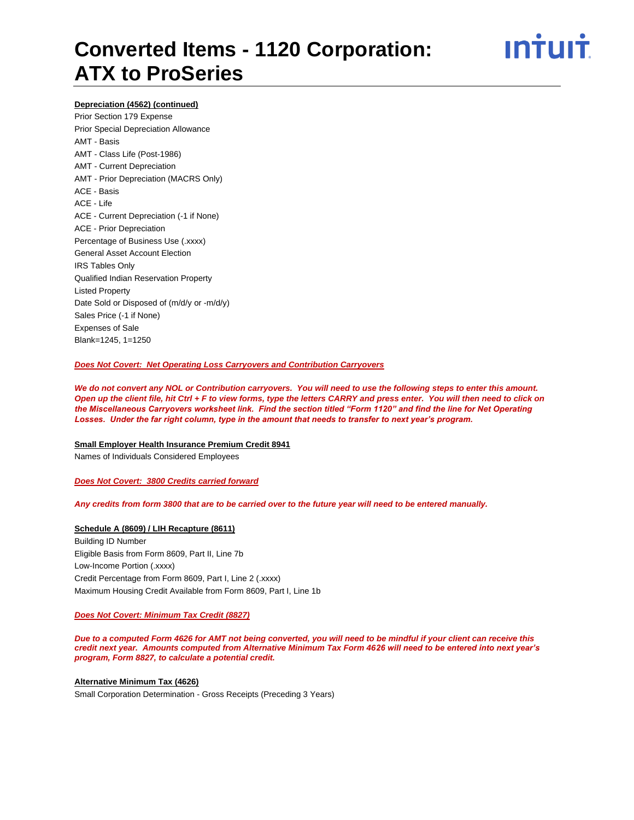

# **Depreciation (4562) (continued)**

Prior Section 179 Expense Prior Special Depreciation Allowance AMT - Basis AMT - Class Life (Post-1986) AMT - Current Depreciation AMT - Prior Depreciation (MACRS Only) ACE - Basis ACE - Life ACE - Current Depreciation (-1 if None) ACE - Prior Depreciation Percentage of Business Use (.xxxx) General Asset Account Election IRS Tables Only Qualified Indian Reservation Property Listed Property Date Sold or Disposed of (m/d/y or -m/d/y) Sales Price (-1 if None) Expenses of Sale Blank=1245, 1=1250

### *Does Not Covert: Net Operating Loss Carryovers and Contribution Carryovers*

*We do not convert any NOL or Contribution carryovers. You will need to use the following steps to enter this amount. Open up the client file, hit Ctrl + F to view forms, type the letters CARRY and press enter. You will then need to click on the Miscellaneous Carryovers worksheet link. Find the section titled "Form 1120" and find the line for Net Operating Losses. Under the far right column, type in the amount that needs to transfer to next year's program.*

#### **Small Employer Health Insurance Premium Credit 8941**

Names of Individuals Considered Employees

*Does Not Covert: 3800 Credits carried forward*

*Any credits from form 3800 that are to be carried over to the future year will need to be entered manually.*

### **Schedule A (8609) / LIH Recapture (8611)**

Building ID Number Eligible Basis from Form 8609, Part II, Line 7b Low-Income Portion (.xxxx) Credit Percentage from Form 8609, Part I, Line 2 (.xxxx) Maximum Housing Credit Available from Form 8609, Part I, Line 1b

### *Does Not Covert: Minimum Tax Credit (8827)*

*Due to a computed Form 4626 for AMT not being converted, you will need to be mindful if your client can receive this credit next year. Amounts computed from Alternative Minimum Tax Form 4626 will need to be entered into next year's program, Form 8827, to calculate a potential credit.*

#### **Alternative Minimum Tax (4626)**

Small Corporation Determination - Gross Receipts (Preceding 3 Years)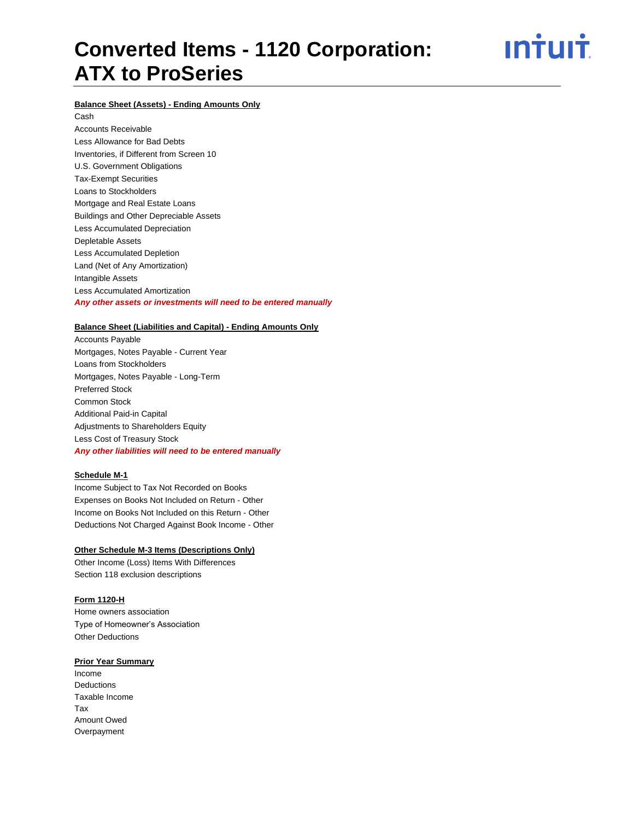<u>ıntuıt</u>

# **Balance Sheet (Assets) - Ending Amounts Only**

Cash

Accounts Receivable Less Allowance for Bad Debts Inventories, if Different from Screen 10 U.S. Government Obligations Tax-Exempt Securities Loans to Stockholders Mortgage and Real Estate Loans Buildings and Other Depreciable Assets Less Accumulated Depreciation Depletable Assets Less Accumulated Depletion Land (Net of Any Amortization) Intangible Assets Less Accumulated Amortization *Any other assets or investments will need to be entered manually*

### **Balance Sheet (Liabilities and Capital) - Ending Amounts Only**

Accounts Payable Mortgages, Notes Payable - Current Year Loans from Stockholders Mortgages, Notes Payable - Long-Term Preferred Stock Common Stock Additional Paid-in Capital Adjustments to Shareholders Equity Less Cost of Treasury Stock *Any other liabilities will need to be entered manually*

### **Schedule M-1**

Income Subject to Tax Not Recorded on Books Expenses on Books Not Included on Return - Other Income on Books Not Included on this Return - Other Deductions Not Charged Against Book Income - Other

### **Other Schedule M-3 Items (Descriptions Only)**

Other Income (Loss) Items With Differences Section 118 exclusion descriptions

### **Form 1120-H**

Home owners association Type of Homeowner's Association Other Deductions

#### **Prior Year Summary**

Income **Deductions** Taxable Income Tax Amount Owed Overpayment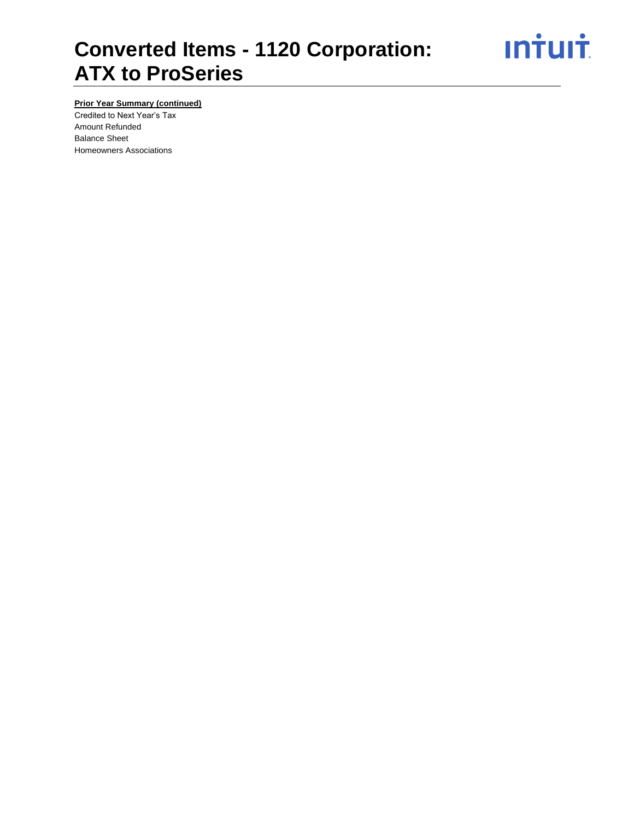**Intuit** 

# **Prior Year Summary (continued)**

Credited to Next Year's Tax Amount Refunded Balance Sheet Homeowners Associations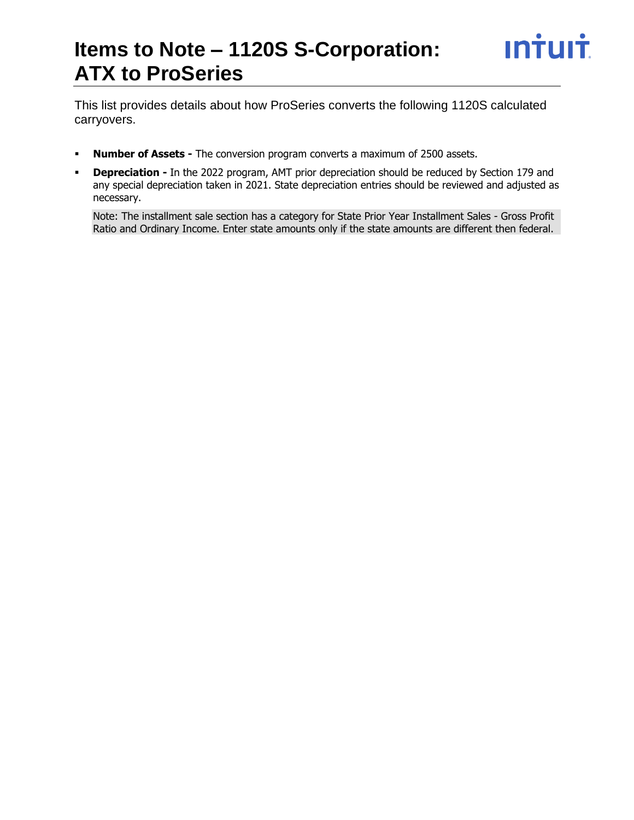# **Items to Note – 1120S S-Corporation: ATX to ProSeries**

This list provides details about how ProSeries converts the following 1120S calculated carryovers.

- **Number of Assets -** The conversion program converts a maximum of 2500 assets.
- **Depreciation -** In the 2022 program, AMT prior depreciation should be reduced by Section 179 and any special depreciation taken in 2021. State depreciation entries should be reviewed and adjusted as necessary.

Note: The installment sale section has a category for State Prior Year Installment Sales - Gross Profit Ratio and Ordinary Income. Enter state amounts only if the state amounts are different then federal.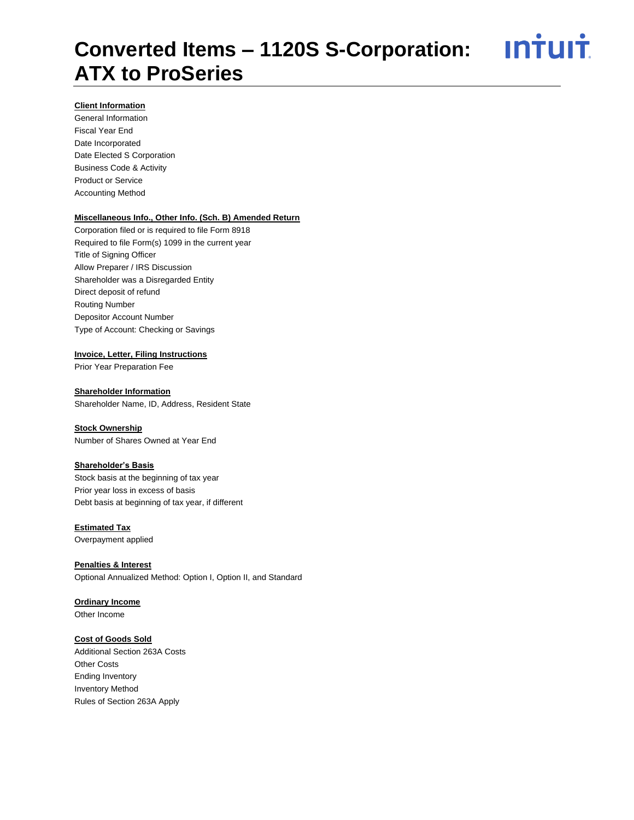# **Client Information**

General Information Fiscal Year End Date Incorporated Date Elected S Corporation Business Code & Activity Product or Service Accounting Method

# **Miscellaneous Info., Other Info. (Sch. B) Amended Return**

Corporation filed or is required to file Form 8918 Required to file Form(s) 1099 in the current year Title of Signing Officer Allow Preparer / IRS Discussion Shareholder was a Disregarded Entity Direct deposit of refund Routing Number Depositor Account Number Type of Account: Checking or Savings

# **Invoice, Letter, Filing Instructions**

Prior Year Preparation Fee

# **Shareholder Information**

Shareholder Name, ID, Address, Resident State

### **Stock Ownership**

Number of Shares Owned at Year End

### **Shareholder's Basis**

Stock basis at the beginning of tax year Prior year loss in excess of basis Debt basis at beginning of tax year, if different

# **Estimated Tax**

Overpayment applied

# **Penalties & Interest**

Optional Annualized Method: Option I, Option II, and Standard

# **Ordinary Income**

Other Income

### **Cost of Goods Sold**

Additional Section 263A Costs Other Costs Ending Inventory Inventory Method Rules of Section 263A Apply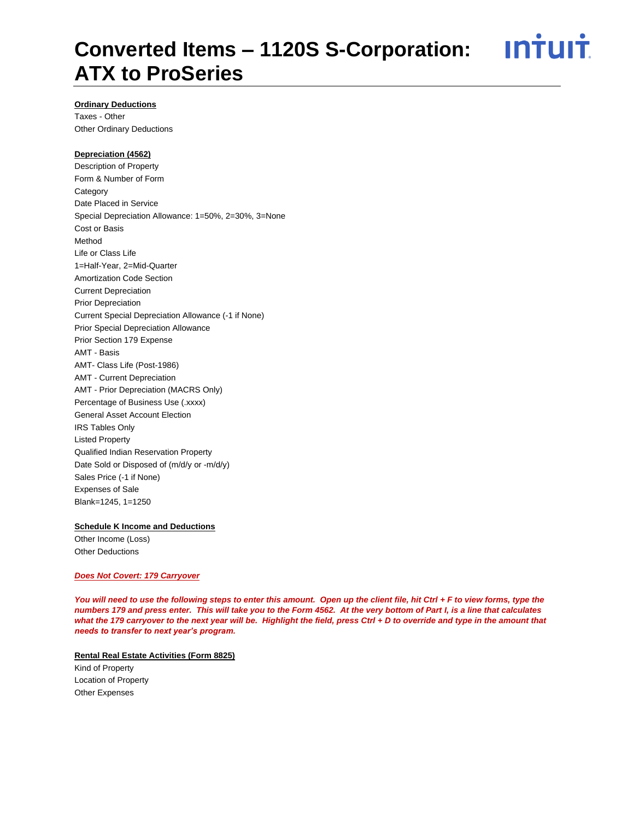# <u>**Intuit**</u> **Converted Items – 1120S S-Corporation: ATX to ProSeries**

# **Ordinary Deductions**

Taxes - Other Other Ordinary Deductions

# **Depreciation (4562)**

Description of Property Form & Number of Form Category Date Placed in Service Special Depreciation Allowance: 1=50%, 2=30%, 3=None Cost or Basis Method Life or Class Life 1=Half-Year, 2=Mid-Quarter Amortization Code Section Current Depreciation Prior Depreciation Current Special Depreciation Allowance (-1 if None) Prior Special Depreciation Allowance Prior Section 179 Expense AMT - Basis AMT- Class Life (Post-1986) AMT - Current Depreciation AMT - Prior Depreciation (MACRS Only) Percentage of Business Use (.xxxx) General Asset Account Election IRS Tables Only Listed Property Qualified Indian Reservation Property Date Sold or Disposed of (m/d/y or -m/d/y) Sales Price (-1 if None) Expenses of Sale Blank=1245, 1=1250

# **Schedule K Income and Deductions**

Other Income (Loss) Other Deductions

# *Does Not Covert: 179 Carryover*

*You will need to use the following steps to enter this amount. Open up the client file, hit Ctrl + F to view forms, type the numbers 179 and press enter. This will take you to the Form 4562. At the very bottom of Part I, is a line that calculates what the 179 carryover to the next year will be. Highlight the field, press Ctrl + D to override and type in the amount that needs to transfer to next year's program.*

# **Rental Real Estate Activities (Form 8825)**

Kind of Property Location of Property Other Expenses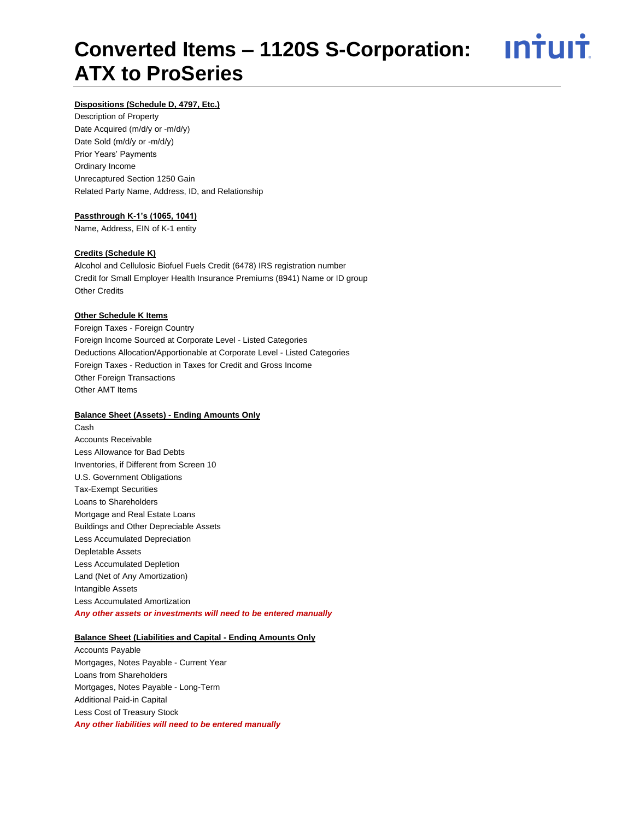<u>**Intuit**</u>

# **Dispositions (Schedule D, 4797, Etc.)**

Description of Property Date Acquired (m/d/y or -m/d/y) Date Sold (m/d/y or -m/d/y) Prior Years' Payments Ordinary Income Unrecaptured Section 1250 Gain Related Party Name, Address, ID, and Relationship

# **Passthrough K-1's (1065, 1041)**

Name, Address, EIN of K-1 entity

#### **Credits (Schedule K)**

Alcohol and Cellulosic Biofuel Fuels Credit (6478) IRS registration number Credit for Small Employer Health Insurance Premiums (8941) Name or ID group Other Credits

#### **Other Schedule K Items**

Foreign Taxes - Foreign Country Foreign Income Sourced at Corporate Level - Listed Categories Deductions Allocation/Apportionable at Corporate Level - Listed Categories Foreign Taxes - Reduction in Taxes for Credit and Gross Income Other Foreign Transactions Other AMT Items

#### **Balance Sheet (Assets) - Ending Amounts Only**

Cash Accounts Receivable Less Allowance for Bad Debts Inventories, if Different from Screen 10 U.S. Government Obligations Tax-Exempt Securities Loans to Shareholders Mortgage and Real Estate Loans Buildings and Other Depreciable Assets Less Accumulated Depreciation Depletable Assets Less Accumulated Depletion Land (Net of Any Amortization) Intangible Assets Less Accumulated Amortization *Any other assets or investments will need to be entered manually*

# **Balance Sheet (Liabilities and Capital - Ending Amounts Only**

Accounts Payable Mortgages, Notes Payable - Current Year Loans from Shareholders Mortgages, Notes Payable - Long-Term Additional Paid-in Capital Less Cost of Treasury Stock *Any other liabilities will need to be entered manually*